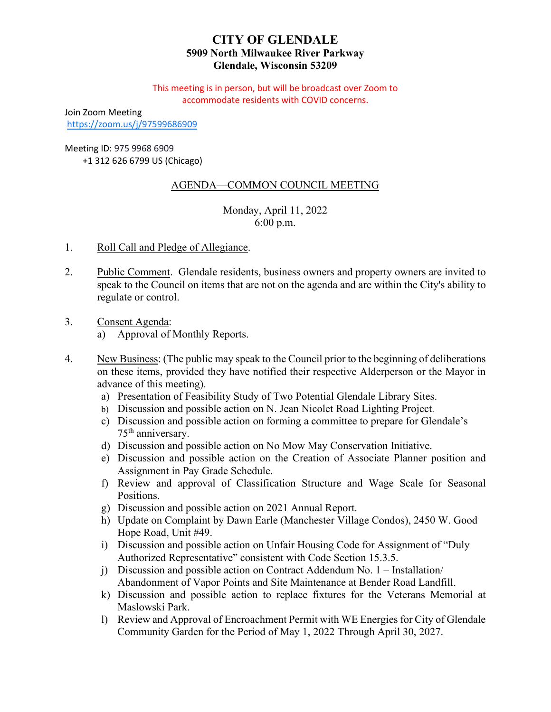# **CITY OF GLENDALE 5909 North Milwaukee River Parkway Glendale, Wisconsin 53209**

This meeting is in person, but will be broadcast over Zoom to accommodate residents with COVID concerns.

Join Zoom Meeting <https://zoom.us/j/97599686909>

Meeting ID: 975 9968 6909 +1 312 626 6799 US (Chicago)

AGENDA—COMMON COUNCIL MEETING

Monday, April 11, 2022 6:00 p.m.

- 1. Roll Call and Pledge of Allegiance.
- 2. Public Comment. Glendale residents, business owners and property owners are invited to speak to the Council on items that are not on the agenda and are within the City's ability to regulate or control.
- 3. Consent Agenda:
	- a) [Approval of Monthly Reports.](#page-2-0)
- 4. New Business: (The public may speak to the Council prior to the beginning of deliberations on these items, provided they have notified their respective Alderperson or the Mayor in advance of this meeting).
	- a) [Presentation of Feasibility Study of Two Potential Glendale Library Sites.](#page-3-0)
	- b) [Discussion and possible action on N. Jean Nicolet Road Lighting Project.](#page-4-0)
	- c) [Discussion and possible action on forming a committee to prepare for Glendale's](#page-6-0)  75<sup>th</sup> anniversary.
	- d) [Discussion and possible action on No Mow May Conservation Initiative.](#page-7-0)
	- e) [Discussion and possible action on the Creation of Associate Planner position and](#page-8-0)  Assignment in Pay Grade Schedule.
	- f) [Review and approval of Classification Structure and Wage Scale for Seasonal](#page-9-0)  Positions.
	- g) [Discussion and possible action on 2021 Annual Report.](#page-11-0)
	- h) [Update on Complaint by Dawn Earle \(Manchester Village Condos\), 2450 W. Good](#page-12-0)  Hope Road, Unit #49.
	- i) [Discussion and possible action on Unfair Housing Code for Assignment of "Duly](#page-12-0)  Authorized Representative" consistent with Code Section 15.3.5.
	- j) Discussion and possible action on Contract Addendum No. 1 Installation/ [Abandonment of Vapor Points and Site Maintenance at Bender Road Landfill.](#page-14-0)
	- k) [Discussion and possible action to replace fixtures for the Veterans Memorial at](#page-16-0)  Maslowski Park.
	- l) [Review and Approval of Encroachment Permit with WE Energies for City of Glendale](#page-18-0)  Community Garden for the Period of May 1, 2022 Through April 30, 2027.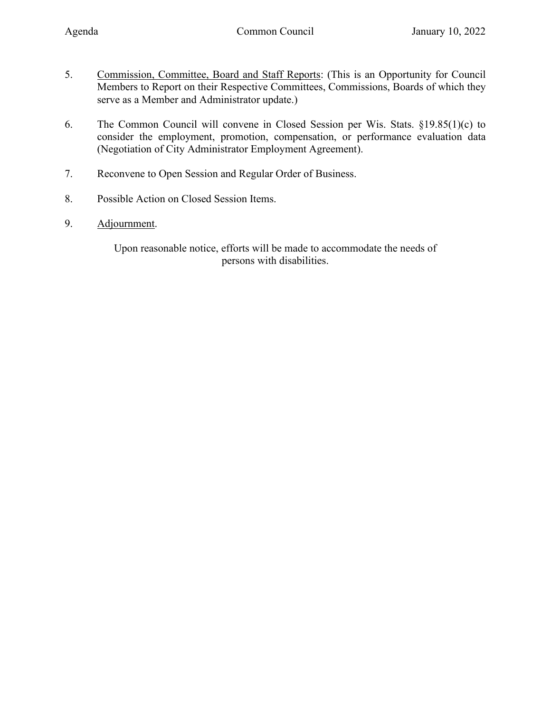- 5. Commission, Committee, Board and Staff Reports: (This is an Opportunity for Council Members to Report on their Respective Committees, Commissions, Boards of which they serve as a Member and Administrator update.)
- 6. The Common Council will convene in Closed Session per Wis. Stats. §19.85(1)(c) to consider the employment, promotion, compensation, or performance evaluation data (Negotiation of City Administrator Employment Agreement).
- 7. Reconvene to Open Session and Regular Order of Business.
- 8. Possible Action on Closed Session Items.
- 9. Adjournment.

Upon reasonable notice, efforts will be made to accommodate the needs of persons with disabilities.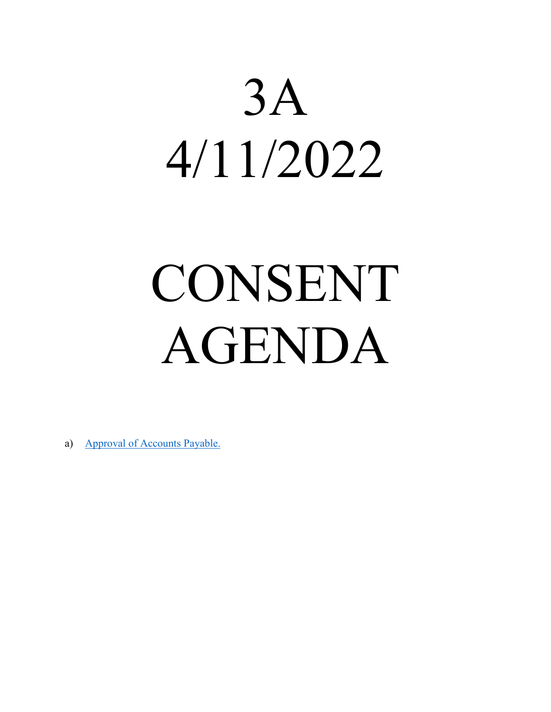# <span id="page-2-0"></span>3A 4/11/2022

# CONSENT AGENDA

a) [Approval of Accounts Payable.](https://www.glendale-wi.org/DocumentCenter/View/2523/Accounts-Payable-Report-for-Council-Meeting-04-11-2022)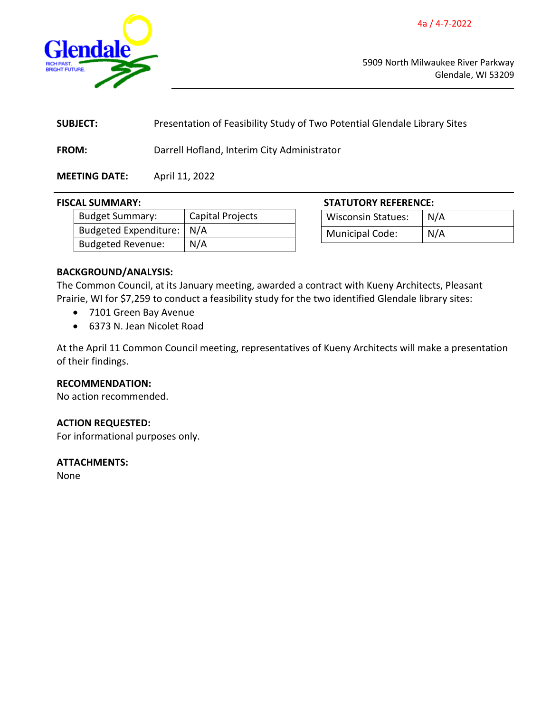4a / 4-7-2022

<span id="page-3-0"></span>

5909 North Milwaukee River Parkway Glendale, WI 53209

| <b>SUBJECT:</b> | Presentation of Feasibility Study of Two Potential Glendale Library Sites |
|-----------------|---------------------------------------------------------------------------|
| <b>FROM:</b>    | Darrell Hofland, Interim City Administrator                               |

# **MEETING DATE:** April 11, 2022

| <b>Budget Summary:</b>      | <b>Capital Projects</b> |
|-----------------------------|-------------------------|
| Budgeted Expenditure:   N/A |                         |
| <b>Budgeted Revenue:</b>    | N/A                     |

# **FISCAL SUMMARY: STATUTORY REFERENCE:**

| <b>Wisconsin Statues:</b> | N/A |
|---------------------------|-----|
| <b>Municipal Code:</b>    | N/A |

# **BACKGROUND/ANALYSIS:**

The Common Council, at its January meeting, awarded a contract with Kueny Architects, Pleasant Prairie, WI for \$7,259 to conduct a feasibility study for the two identified Glendale library sites:

- 7101 Green Bay Avenue
- 6373 N. Jean Nicolet Road

At the April 11 Common Council meeting, representatives of Kueny Architects will make a presentation of their findings.

# **RECOMMENDATION:**

No action recommended.

# **ACTION REQUESTED:**

For informational purposes only.

# **ATTACHMENTS:**

None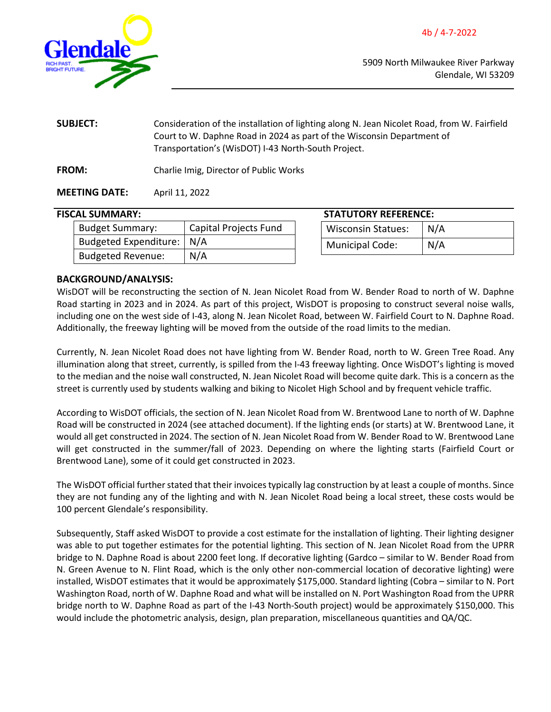4b / 4-7-2022

<span id="page-4-0"></span>

5909 North Milwaukee River Parkway Glendale, WI 53209

**SUBJECT:** Consideration of the installation of lighting along N. Jean Nicolet Road, from W. Fairfield Court to W. Daphne Road in 2024 as part of the Wisconsin Department of Transportation's (WisDOT) I-43 North-South Project.

**FROM:** Charlie Imig, Director of Public Works

# **MEETING DATE:** April 11, 2022

## **FISCAL SUMMARY:**

| <b>Budget Summary:</b>      | <b>Capital Projects Fund</b> |
|-----------------------------|------------------------------|
| Budgeted Expenditure:   N/A |                              |
| <b>Budgeted Revenue:</b>    | N/A                          |

| <b>STATUTORY REFERENCE:</b> |     |
|-----------------------------|-----|
| <b>Wisconsin Statues:</b>   | N/A |
| <b>Municipal Code:</b>      | N/A |

## **BACKGROUND/ANALYSIS:**

WisDOT will be reconstructing the section of N. Jean Nicolet Road from W. Bender Road to north of W. Daphne Road starting in 2023 and in 2024. As part of this project, WisDOT is proposing to construct several noise walls, including one on the west side of I-43, along N. Jean Nicolet Road, between W. Fairfield Court to N. Daphne Road. Additionally, the freeway lighting will be moved from the outside of the road limits to the median.

Currently, N. Jean Nicolet Road does not have lighting from W. Bender Road, north to W. Green Tree Road. Any illumination along that street, currently, is spilled from the I-43 freeway lighting. Once WisDOT's lighting is moved to the median and the noise wall constructed, N. Jean Nicolet Road will become quite dark. This is a concern as the street is currently used by students walking and biking to Nicolet High School and by frequent vehicle traffic.

According to WisDOT officials, the section of N. Jean Nicolet Road from W. Brentwood Lane to north of W. Daphne Road will be constructed in 2024 (see attached document). If the lighting ends (or starts) at W. Brentwood Lane, it would all get constructed in 2024. The section of N. Jean Nicolet Road from W. Bender Road to W. Brentwood Lane will get constructed in the summer/fall of 2023. Depending on where the lighting starts (Fairfield Court or Brentwood Lane), some of it could get constructed in 2023.

The WisDOT official further stated that their invoices typically lag construction by at least a couple of months. Since they are not funding any of the lighting and with N. Jean Nicolet Road being a local street, these costs would be 100 percent Glendale's responsibility.

Subsequently, Staff asked WisDOT to provide a cost estimate for the installation of lighting. Their lighting designer was able to put together estimates for the potential lighting. This section of N. Jean Nicolet Road from the UPRR bridge to N. Daphne Road is about 2200 feet long. If decorative lighting (Gardco – similar to W. Bender Road from N. Green Avenue to N. Flint Road, which is the only other non-commercial location of decorative lighting) were installed, WisDOT estimates that it would be approximately \$175,000. Standard lighting (Cobra – similar to N. Port Washington Road, north of W. Daphne Road and what will be installed on N. Port Washington Road from the UPRR bridge north to W. Daphne Road as part of the I-43 North-South project) would be approximately \$150,000. This would include the photometric analysis, design, plan preparation, miscellaneous quantities and QA/QC.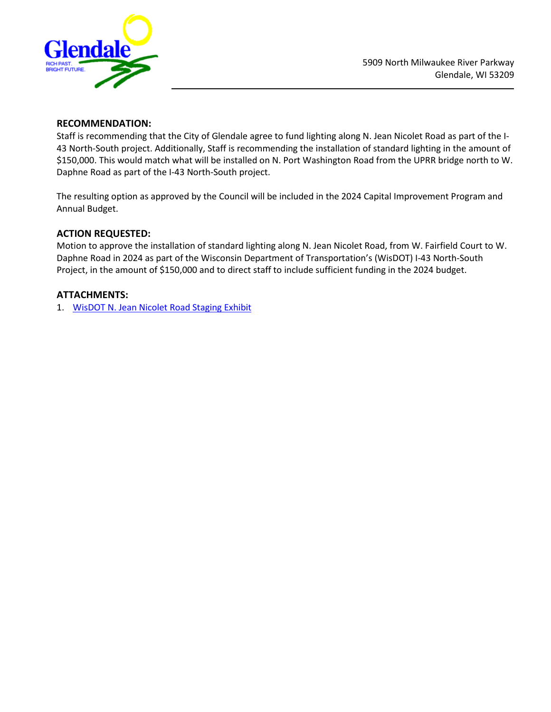

# **RECOMMENDATION:**

Staff is recommending that the City of Glendale agree to fund lighting along N. Jean Nicolet Road as part of the I-43 North-South project. Additionally, Staff is recommending the installation of standard lighting in the amount of \$150,000. This would match what will be installed on N. Port Washington Road from the UPRR bridge north to W. Daphne Road as part of the I-43 North-South project.

The resulting option as approved by the Council will be included in the 2024 Capital Improvement Program and Annual Budget.

# **ACTION REQUESTED:**

Motion to approve the installation of standard lighting along N. Jean Nicolet Road, from W. Fairfield Court to W. Daphne Road in 2024 as part of the Wisconsin Department of Transportation's (WisDOT) I-43 North-South Project, in the amount of \$150,000 and to direct staff to include sufficient funding in the 2024 budget.

# **ATTACHMENTS:**

1. [WisDOT N. Jean Nicolet Road Staging Exhibit](https://www.glendale-wi.org/DocumentCenter/View/2529/WisDOT-JeanNicolet-Staging-Exhibit)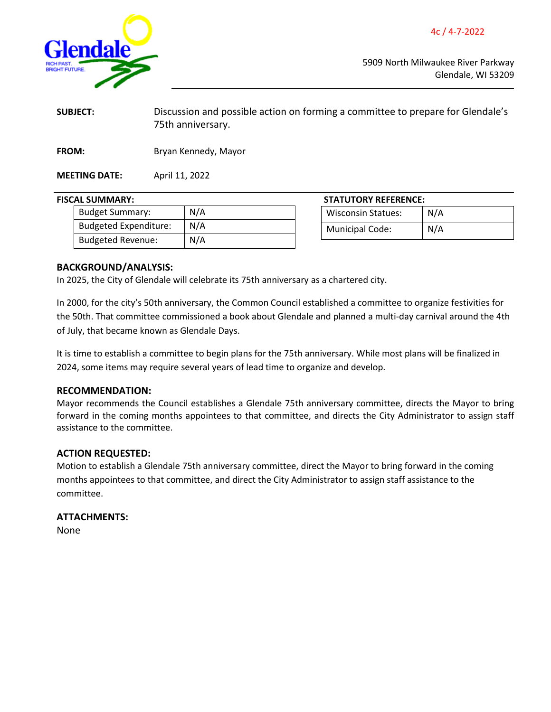4c / 4-7-2022

<span id="page-6-0"></span>

5909 North Milwaukee River Parkway Glendale, WI 53209

| <b>SUBJECT:</b> | Discussion and possible action on forming a committee to prepare for Glendale's<br>75th anniversary. |
|-----------------|------------------------------------------------------------------------------------------------------|
| <b>FROM:</b>    | Bryan Kennedy, Mayor                                                                                 |

**MEETING DATE:** April 11, 2022

| <b>Budget Summary:</b>       | N/A |
|------------------------------|-----|
| <b>Budgeted Expenditure:</b> | N/A |
| <b>Budgeted Revenue:</b>     | N/A |
|                              |     |

**FISCAL SUMMARY: STATUTORY REFERENCE:**

| <b>Wisconsin Statues:</b> | N/A |
|---------------------------|-----|
| Municipal Code:           | N/A |

## **BACKGROUND/ANALYSIS:**

In 2025, the City of Glendale will celebrate its 75th anniversary as a chartered city.

In 2000, for the city's 50th anniversary, the Common Council established a committee to organize festivities for the 50th. That committee commissioned a book about Glendale and planned a multi-day carnival around the 4th of July, that became known as Glendale Days.

It is time to establish a committee to begin plans for the 75th anniversary. While most plans will be finalized in 2024, some items may require several years of lead time to organize and develop.

## **RECOMMENDATION:**

Mayor recommends the Council establishes a Glendale 75th anniversary committee, directs the Mayor to bring forward in the coming months appointees to that committee, and directs the City Administrator to assign staff assistance to the committee.

## **ACTION REQUESTED:**

Motion to establish a Glendale 75th anniversary committee, direct the Mayor to bring forward in the coming months appointees to that committee, and direct the City Administrator to assign staff assistance to the committee.

**ATTACHMENTS:** None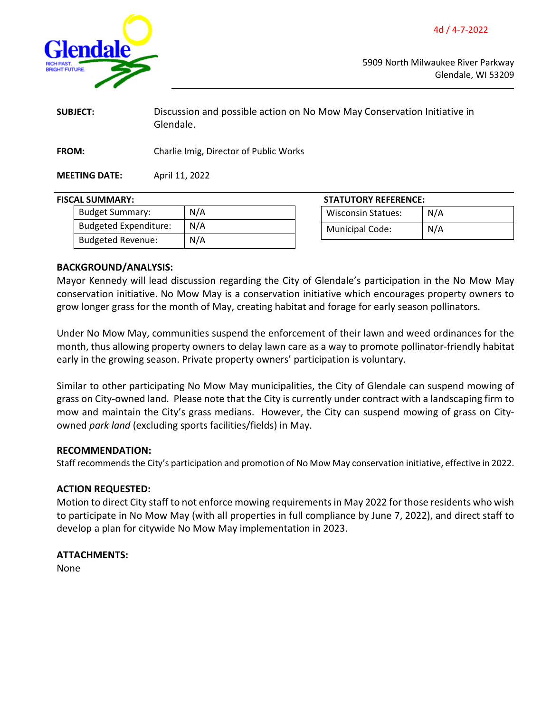4d / 4-7-2022

<span id="page-7-0"></span>

5909 North Milwaukee River Parkway Glendale, WI 53209

| <b>SUBJECT:</b>      | Discussion and possible action on No Mow May Conservation Initiative in<br>Glendale. |
|----------------------|--------------------------------------------------------------------------------------|
| <b>FROM:</b>         | Charlie Imig, Director of Public Works                                               |
| <b>MEETING DATE:</b> | April 11, 2022                                                                       |

| <b>Budget Summary:</b>       | N/A |
|------------------------------|-----|
| <b>Budgeted Expenditure:</b> | N/A |
| <b>Budgeted Revenue:</b>     | N/A |
|                              |     |

## **FISCAL SUMMARY: STATUTORY REFERENCE:**

| <b>Wisconsin Statues:</b> | N/A |
|---------------------------|-----|
| <b>Municipal Code:</b>    | N/A |

# **BACKGROUND/ANALYSIS:**

Mayor Kennedy will lead discussion regarding the City of Glendale's participation in the No Mow May conservation initiative. No Mow May is a conservation initiative which encourages property owners to grow longer grass for the month of May, creating habitat and forage for early season pollinators.

Under No Mow May, communities suspend the enforcement of their lawn and weed ordinances for the month, thus allowing property owners to delay lawn care as a way to promote pollinator-friendly habitat early in the growing season. Private property owners' participation is voluntary.

Similar to other participating No Mow May municipalities, the City of Glendale can suspend mowing of grass on City-owned land. Please note that the City is currently under contract with a landscaping firm to mow and maintain the City's grass medians. However, the City can suspend mowing of grass on Cityowned *park land* (excluding sports facilities/fields) in May.

## **RECOMMENDATION:**

Staff recommends the City's participation and promotion of No Mow May conservation initiative, effective in 2022.

# **ACTION REQUESTED:**

Motion to direct City staff to not enforce mowing requirements in May 2022 for those residents who wish to participate in No Mow May (with all properties in full compliance by June 7, 2022), and direct staff to develop a plan for citywide No Mow May implementation in 2023.

## **ATTACHMENTS:**

None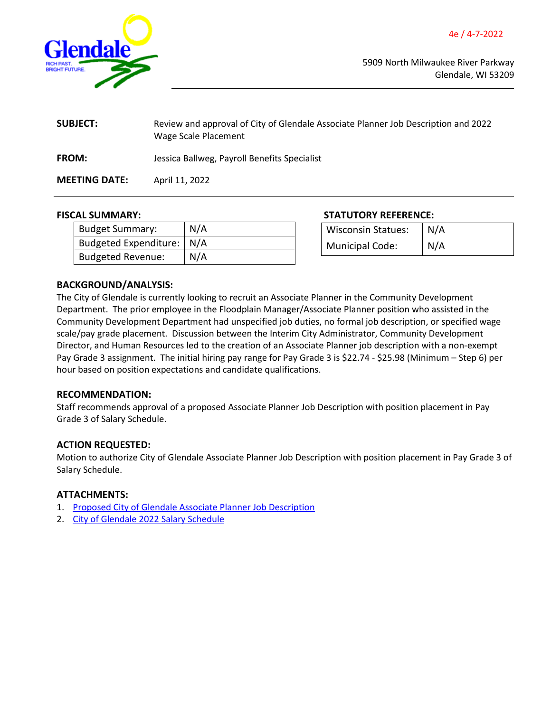<span id="page-8-0"></span>

| <b>SUBJECT:</b>      | Review and approval of City of Glendale Associate Planner Job Description and 2022<br>Wage Scale Placement |
|----------------------|------------------------------------------------------------------------------------------------------------|
| <b>FROM:</b>         | Jessica Ballweg, Payroll Benefits Specialist                                                               |
| <b>MEETING DATE:</b> | April 11, 2022                                                                                             |

| <b>Budget Summary:</b>      | N/A |
|-----------------------------|-----|
| Budgeted Expenditure:   N/A |     |
| <b>Budgeted Revenue:</b>    | N/A |

#### **FISCAL SUMMARY: STATUTORY REFERENCE:**

| <b>Wisconsin Statues:</b> | N/A |
|---------------------------|-----|
| Municipal Code:           | N/A |

## **BACKGROUND/ANALYSIS:**

The City of Glendale is currently looking to recruit an Associate Planner in the Community Development Department. The prior employee in the Floodplain Manager/Associate Planner position who assisted in the Community Development Department had unspecified job duties, no formal job description, or specified wage scale/pay grade placement. Discussion between the Interim City Administrator, Community Development Director, and Human Resources led to the creation of an Associate Planner job description with a non-exempt Pay Grade 3 assignment. The initial hiring pay range for Pay Grade 3 is \$22.74 - \$25.98 (Minimum – Step 6) per hour based on position expectations and candidate qualifications.

#### **RECOMMENDATION:**

Staff recommends approval of a proposed Associate Planner Job Description with position placement in Pay Grade 3 of Salary Schedule.

## **ACTION REQUESTED:**

Motion to authorize City of Glendale Associate Planner Job Description with position placement in Pay Grade 3 of Salary Schedule.

#### **ATTACHMENTS:**

- 1. [Proposed City of Glendale Associate](https://www.glendale-wi.org/DocumentCenter/View/2526/Attachment---Job-Description-Associate-Planner-) [Planner Job Description](https://www.glendale-wi.org/DocumentCenter/View/2526/Attachment---Job-Description-Associate-Planner-)
- 2. [City of Glendale 2022 Salary Schedule](https://www.glendale-wi.org/DocumentCenter/View/2524/Attachment---2022-Salary-Schedule)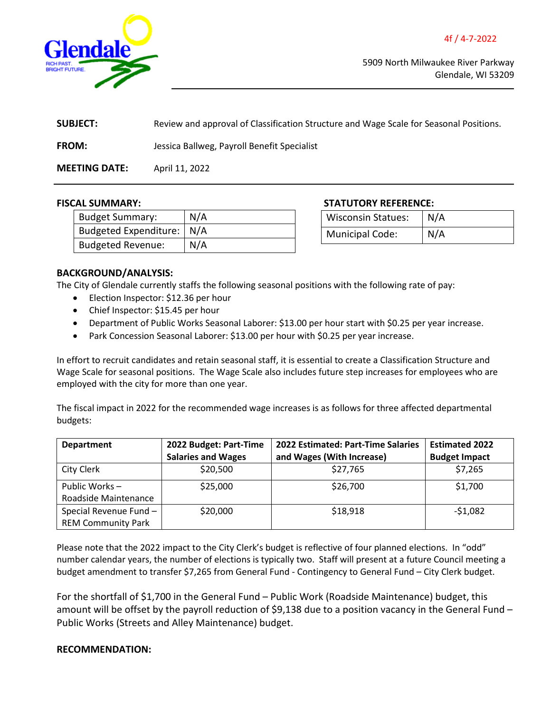

<span id="page-9-0"></span>

| <b>SUBJECT:</b>      | Review and approval of Classification Structure and Wage Scale for Seasonal Positions. |  |
|----------------------|----------------------------------------------------------------------------------------|--|
| <b>FROM:</b>         | Jessica Ballweg, Payroll Benefit Specialist                                            |  |
| <b>MEETING DATE:</b> | April 11, 2022                                                                         |  |

| <b>Budget Summary:</b>      | N/A |
|-----------------------------|-----|
| Budgeted Expenditure:   N/A |     |
| <b>Budgeted Revenue:</b>    | N/A |

## **FISCAL SUMMARY: STATUTORY REFERENCE:**

| <b>Wisconsin Statues:</b> | N/A |
|---------------------------|-----|
| <b>Municipal Code:</b>    | N/A |

## **BACKGROUND/ANALYSIS:**

The City of Glendale currently staffs the following seasonal positions with the following rate of pay:

- Election Inspector: \$12.36 per hour
- Chief Inspector: \$15.45 per hour
- Department of Public Works Seasonal Laborer: \$13.00 per hour start with \$0.25 per year increase.
- Park Concession Seasonal Laborer: \$13.00 per hour with \$0.25 per year increase.

In effort to recruit candidates and retain seasonal staff, it is essential to create a Classification Structure and Wage Scale for seasonal positions. The Wage Scale also includes future step increases for employees who are employed with the city for more than one year.

The fiscal impact in 2022 for the recommended wage increases is as follows for three affected departmental budgets:

| <b>Department</b>         | 2022 Budget: Part-Time    | <b>2022 Estimated: Part-Time Salaries</b> | <b>Estimated 2022</b> |
|---------------------------|---------------------------|-------------------------------------------|-----------------------|
|                           | <b>Salaries and Wages</b> | and Wages (With Increase)                 | <b>Budget Impact</b>  |
| City Clerk                | \$20,500                  | \$27,765                                  | \$7,265               |
| Public Works-             | \$25,000                  | \$26,700                                  | \$1,700               |
| Roadside Maintenance      |                           |                                           |                       |
| Special Revenue Fund -    | \$20,000                  | \$18,918                                  | $-51,082$             |
| <b>REM Community Park</b> |                           |                                           |                       |

Please note that the 2022 impact to the City Clerk's budget is reflective of four planned elections. In "odd" number calendar years, the number of elections is typically two. Staff will present at a future Council meeting a budget amendment to transfer \$7,265 from General Fund - Contingency to General Fund – City Clerk budget.

For the shortfall of \$1,700 in the General Fund – Public Work (Roadside Maintenance) budget, this amount will be offset by the payroll reduction of \$9,138 due to a position vacancy in the General Fund – Public Works (Streets and Alley Maintenance) budget.

#### **RECOMMENDATION:**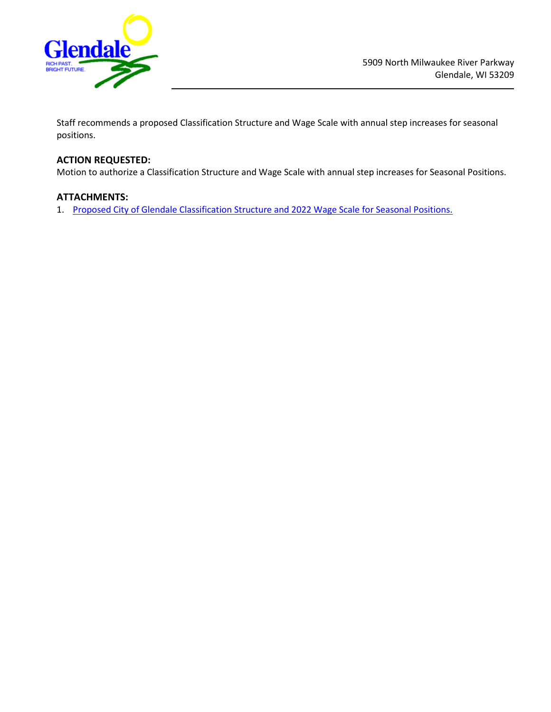

Staff recommends a proposed Classification Structure and Wage Scale with annual step increases for seasonal positions.

# **ACTION REQUESTED:**

Motion to authorize a Classification Structure and Wage Scale with annual step increases for Seasonal Positions.

# **ATTACHMENTS:**

1. [Proposed City of Glendale Classification](https://www.glendale-wi.org/DocumentCenter/View/2525/Attachment---2022-Seasonal-Wage-Scale) Structure and 2022 Wage Scale for Seasonal Position[s.](https://www.glendale-wi.org/DocumentCenter/View/2525/Attachment---2022-Seasonal-Wage-Scale)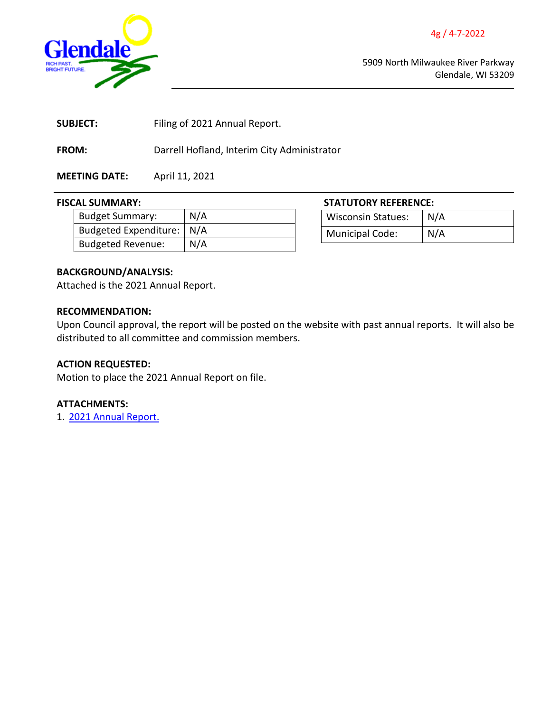

<span id="page-11-0"></span>

| <b>SUBJECT:</b> | Filing of 2021 Annual Report. |
|-----------------|-------------------------------|
|-----------------|-------------------------------|

**FROM:** Darrell Hofland, Interim City Administrator

**MEETING DATE:** April 11, 2021

| <b>Budget Summary:</b>       | N/A |
|------------------------------|-----|
| <b>Budgeted Expenditure:</b> | N/A |
| <b>Budgeted Revenue:</b>     | N/A |

**FISCAL SUMMARY: STATUTORY REFERENCE:**

| <b>Wisconsin Statues:</b> | N/A |
|---------------------------|-----|
| Municipal Code:           | N/A |

# **BACKGROUND/ANALYSIS:**

Attached is the 2021 Annual Report.

# **RECOMMENDATION:**

Upon Council approval, the report will be posted on the website with past annual reports. It will also be distributed to all committee and commission members.

# **ACTION REQUESTED:**

Motion to place the 2021 Annual Report on file.

# **ATTACHMENTS:**

1. [2021 Annual Report.](https://www.glendale-wi.org/DocumentCenter/View/2531/2021-Annual-Report---CC-Packet)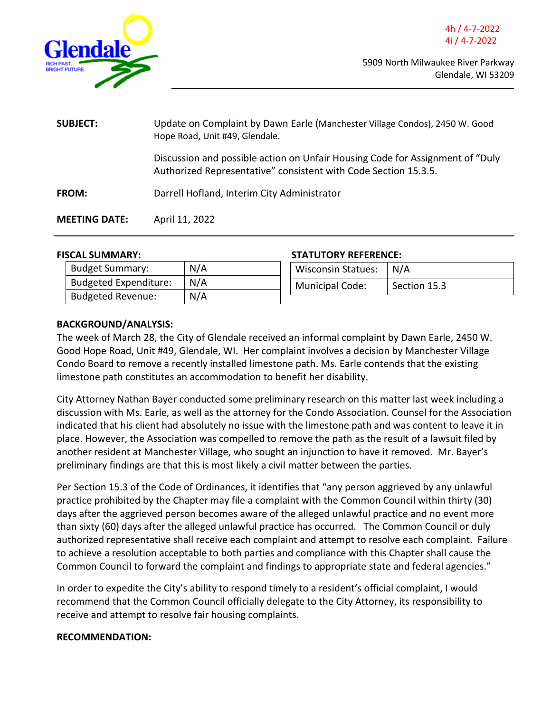<span id="page-12-0"></span>

| <b>SUBJECT:</b>      | Update on Complaint by Dawn Earle (Manchester Village Condos), 2450 W. Good<br>Hope Road, Unit #49, Glendale.                                     |  |
|----------------------|---------------------------------------------------------------------------------------------------------------------------------------------------|--|
|                      | Discussion and possible action on Unfair Housing Code for Assignment of "Duly"<br>Authorized Representative" consistent with Code Section 15.3.5. |  |
| <b>FROM:</b>         | Darrell Hofland, Interim City Administrator                                                                                                       |  |
| <b>MEETING DATE:</b> | April 11, 2022                                                                                                                                    |  |

| <b>Budget Summary:</b>       | N/A |
|------------------------------|-----|
| <b>Budgeted Expenditure:</b> | N/A |
| <b>Budgeted Revenue:</b>     | N/A |

# **FISCAL SUMMARY: STATUTORY REFERENCE:**

| Wisconsin Statues:   N/A |              |
|--------------------------|--------------|
| Municipal Code:          | Section 15.3 |

# **BACKGROUND/ANALYSIS:**

The week of March 28, the City of Glendale received an informal complaint by Dawn Earle, 2450 W. Good Hope Road, Unit #49, Glendale, WI. Her complaint involves a decision by Manchester Village Condo Board to remove a recently installed limestone path. Ms. Earle contends that the existing limestone path constitutes an accommodation to benefit her disability.

City Attorney Nathan Bayer conducted some preliminary research on this matter last week including a discussion with Ms. Earle, as well as the attorney for the Condo Association. Counsel for the Association indicated that his client had absolutely no issue with the limestone path and was content to leave it in place. However, the Association was compelled to remove the path as the result of a lawsuit filed by another resident at Manchester Village, who sought an injunction to have it removed. Mr. Bayer's preliminary findings are that this is most likely a civil matter between the parties.

Per Section 15.3 of the Code of Ordinances, it identifies that "any person aggrieved by any unlawful practice prohibited by the Chapter may file a complaint with the Common Council within thirty (30) days after the aggrieved person becomes aware of the alleged unlawful practice and no event more than sixty (60) days after the alleged unlawful practice has occurred. The Common Council or duly authorized representative shall receive each complaint and attempt to resolve each complaint. Failure to achieve a resolution acceptable to both parties and compliance with this Chapter shall cause the Common Council to forward the complaint and findings to appropriate state and federal agencies."

In order to expedite the City's ability to respond timely to a resident's official complaint, I would recommend that the Common Council officially delegate to the City Attorney, its responsibility to receive and attempt to resolve fair housing complaints.

# **RECOMMENDATION:**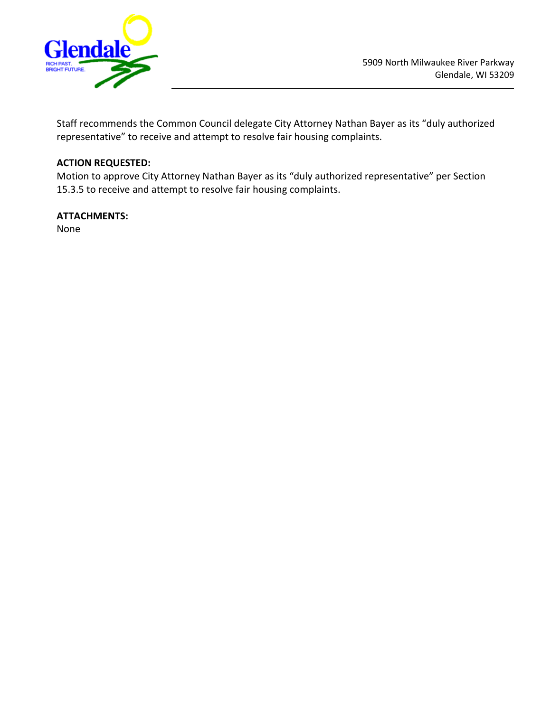

Staff recommends the Common Council delegate City Attorney Nathan Bayer as its "duly authorized representative" to receive and attempt to resolve fair housing complaints.

# **ACTION REQUESTED:**

Motion to approve City Attorney Nathan Bayer as its "duly authorized representative" per Section 15.3.5 to receive and attempt to resolve fair housing complaints.

# **ATTACHMENTS:**

None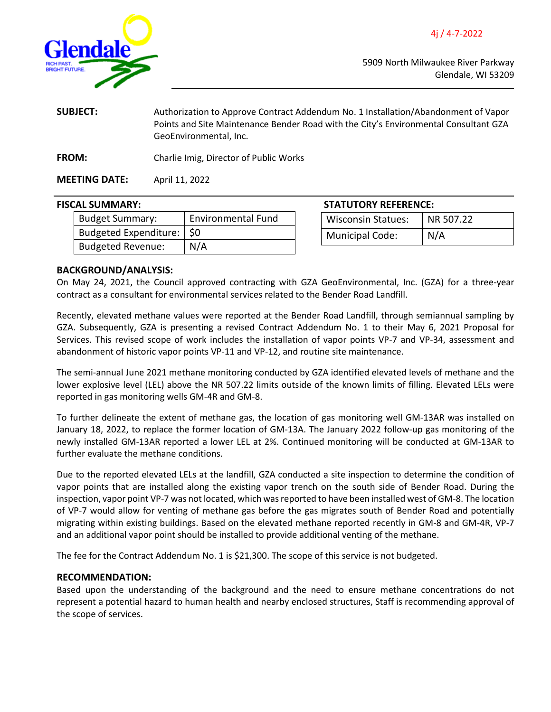4j / 4-7-2022

<span id="page-14-0"></span>

5909 North Milwaukee River Parkway Glendale, WI 53209

| <b>SUBJECT:</b>      | Authorization to Approve Contract Addendum No. 1 Installation/Abandonment of Vapor<br>Points and Site Maintenance Bender Road with the City's Environmental Consultant GZA<br>GeoEnvironmental, Inc. |  |
|----------------------|------------------------------------------------------------------------------------------------------------------------------------------------------------------------------------------------------|--|
| <b>FROM:</b>         | Charlie Imig, Director of Public Works                                                                                                                                                               |  |
| <b>MEETING DATE:</b> | April 11, 2022                                                                                                                                                                                       |  |

#### **FISCAL SUMMARY:**

| <b>Budget Summary:</b>      | <b>Environmental Fund</b> |
|-----------------------------|---------------------------|
| Budgeted Expenditure:   \$0 |                           |
| <b>Budgeted Revenue:</b>    | N/A                       |

| <b>STATUTORY REFERENCE:</b> |           |  |
|-----------------------------|-----------|--|
| <b>Wisconsin Statues:</b>   | NR 507.22 |  |
| <b>Municipal Code:</b>      | N/A       |  |

#### **BACKGROUND/ANALYSIS:**

On May 24, 2021, the Council approved contracting with GZA GeoEnvironmental, Inc. (GZA) for a three-year contract as a consultant for environmental services related to the Bender Road Landfill.

Recently, elevated methane values were reported at the Bender Road Landfill, through semiannual sampling by GZA. Subsequently, GZA is presenting a revised Contract Addendum No. 1 to their May 6, 2021 Proposal for Services. This revised scope of work includes the installation of vapor points VP-7 and VP-34, assessment and abandonment of historic vapor points VP-11 and VP-12, and routine site maintenance.

The semi-annual June 2021 methane monitoring conducted by GZA identified elevated levels of methane and the lower explosive level (LEL) above the NR 507.22 limits outside of the known limits of filling. Elevated LELs were reported in gas monitoring wells GM-4R and GM-8.

To further delineate the extent of methane gas, the location of gas monitoring well GM-13AR was installed on January 18, 2022, to replace the former location of GM-13A. The January 2022 follow-up gas monitoring of the newly installed GM-13AR reported a lower LEL at 2%. Continued monitoring will be conducted at GM-13AR to further evaluate the methane conditions.

Due to the reported elevated LELs at the landfill, GZA conducted a site inspection to determine the condition of vapor points that are installed along the existing vapor trench on the south side of Bender Road. During the inspection, vapor point VP-7 was not located, which was reported to have been installed west of GM-8. The location of VP-7 would allow for venting of methane gas before the gas migrates south of Bender Road and potentially migrating within existing buildings. Based on the elevated methane reported recently in GM-8 and GM-4R, VP-7 and an additional vapor point should be installed to provide additional venting of the methane.

The fee for the Contract Addendum No. 1 is \$21,300. The scope of this service is not budgeted.

## **RECOMMENDATION:**

Based upon the understanding of the background and the need to ensure methane concentrations do not represent a potential hazard to human health and nearby enclosed structures, Staff is recommending approval of the scope of services.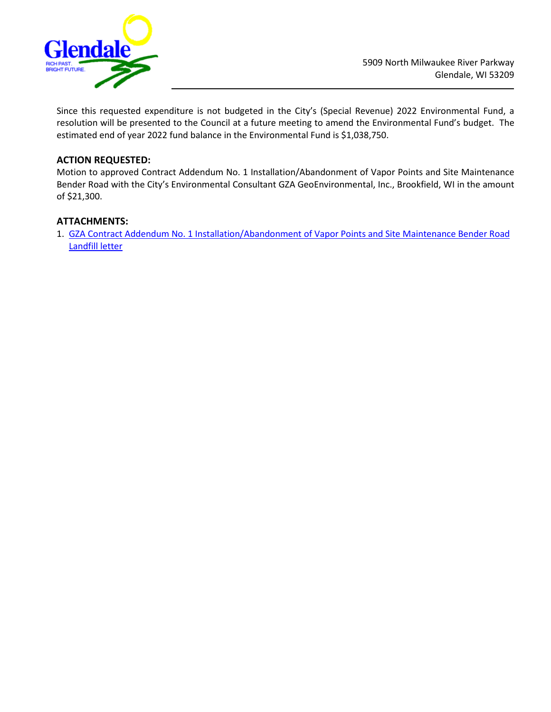

Since this requested expenditure is not budgeted in the City's (Special Revenue) 2022 Environmental Fund, a resolution will be presented to the Council at a future meeting to amend the Environmental Fund's budget. The estimated end of year 2022 fund balance in the Environmental Fund is \$1,038,750.

# **ACTION REQUESTED:**

Motion to approved Contract Addendum No. 1 Installation/Abandonment of Vapor Points and Site Maintenance Bender Road with the City's Environmental Consultant GZA GeoEnvironmental, Inc., Brookfield, WI in the amount of \$21,300.

## **ATTACHMENTS:**

1. [GZA Contract Addendum No. 1 Installation/Abandonment of Vapor Points and Site Maintenance Bender Road](https://www.glendale-wi.org/DocumentCenter/View/2528/GZA-Contract-Addendum-No-1-Installation-Abandonment-of-Vapor-Points-and-Site-Maintenance-Bender-Road) [Landfill letter](https://www.glendale-wi.org/DocumentCenter/View/2528/GZA-Contract-Addendum-No-1-Installation-Abandonment-of-Vapor-Points-and-Site-Maintenance-Bender-Road)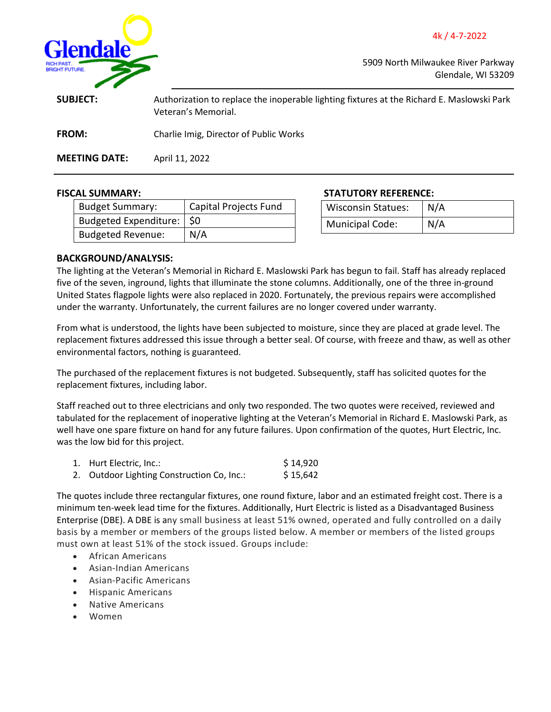## 4k / 4-7-2022

<span id="page-16-0"></span>

5909 North Milwaukee River Parkway Glendale, WI 53209

**SUBJECT:** Authorization to replace the inoperable lighting fixtures at the Richard E. Maslowski Park Veteran's Memorial.

**FROM:** Charlie Imig, Director of Public Works

**MEETING DATE:** April 11, 2022

| <b>Budget Summary:</b>      | <b>Capital Projects Fund</b> |
|-----------------------------|------------------------------|
| Budgeted Expenditure:   \$0 |                              |
| <b>Budgeted Revenue:</b>    | N/A                          |

# **FISCAL SUMMARY: STATUTORY REFERENCE:**

| <b>Wisconsin Statues:</b> | N/A |
|---------------------------|-----|
| <b>Municipal Code:</b>    | N/A |

#### **BACKGROUND/ANALYSIS:**

The lighting at the Veteran's Memorial in Richard E. Maslowski Park has begun to fail. Staff has already replaced five of the seven, inground, lights that illuminate the stone columns. Additionally, one of the three in-ground United States flagpole lights were also replaced in 2020. Fortunately, the previous repairs were accomplished under the warranty. Unfortunately, the current failures are no longer covered under warranty.

From what is understood, the lights have been subjected to moisture, since they are placed at grade level. The replacement fixtures addressed this issue through a better seal. Of course, with freeze and thaw, as well as other environmental factors, nothing is guaranteed.

The purchased of the replacement fixtures is not budgeted. Subsequently, staff has solicited quotes for the replacement fixtures, including labor.

Staff reached out to three electricians and only two responded. The two quotes were received, reviewed and tabulated for the replacement of inoperative lighting at the Veteran's Memorial in Richard E. Maslowski Park, as well have one spare fixture on hand for any future failures. Upon confirmation of the quotes, Hurt Electric, Inc. was the low bid for this project.

| 1. Hurt Electric, Inc.:                    | \$14,920 |
|--------------------------------------------|----------|
| 2. Outdoor Lighting Construction Co, Inc.: | \$15,642 |

The quotes include three rectangular fixtures, one round fixture, labor and an estimated freight cost. There is a minimum ten-week lead time for the fixtures. Additionally, Hurt Electric is listed as a Disadvantaged Business Enterprise (DBE). A DBE is any small business at least 51% owned, operated and fully controlled on a daily basis by a member or members of the groups listed below. A member or members of the listed groups must own at least 51% of the stock issued. Groups include:

- African Americans
- Asian-Indian Americans
- Asian-Pacific Americans
- Hispanic Americans
- Native Americans
- Women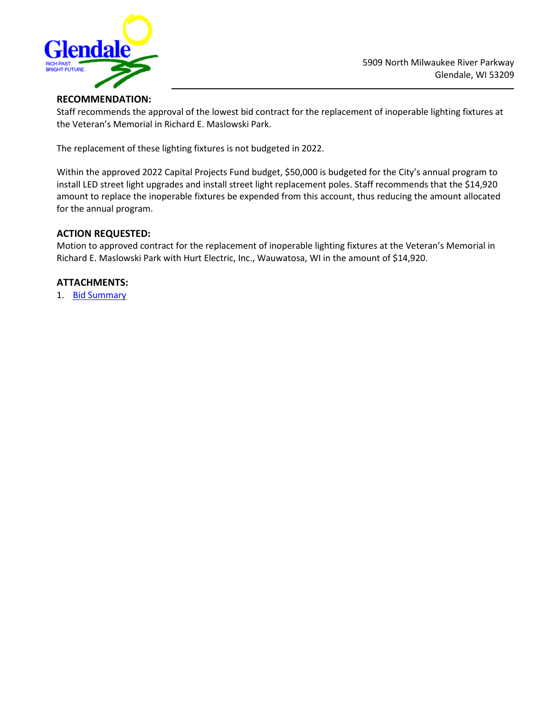

# **RECOMMENDATION:**

Staff recommends the approval of the lowest bid contract for the replacement of inoperable lighting fixtures at the Veteran's Memorial in Richard E. Maslowski Park.

The replacement of these lighting fixtures is not budgeted in 2022.

Within the approved 2022 Capital Projects Fund budget, \$50,000 is budgeted for the City's annual program to install LED street light upgrades and install street light replacement poles. Staff recommends that the \$14,920 amount to replace the inoperable fixtures be expended from this account, thus reducing the amount allocated for the annual program.

# **ACTION REQUESTED:**

Motion to approved contract for the replacement of inoperable lighting fixtures at the Veteran's Memorial in Richard E. Maslowski Park with Hurt Electric, Inc., Wauwatosa, WI in the amount of \$14,920.

## **ATTACHMENTS:**

1. [Bid Summary](https://www.glendale-wi.org/DocumentCenter/View/2530/Attachment---2022-RFQ---REMP-Veterans-Memorial-Lighting-Replacement-Bid-Summary)